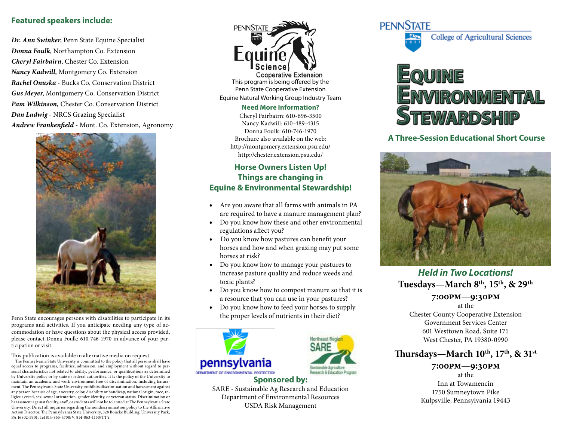## **Featured speakers include:**

*Dr. Ann Swinker*, Penn State Equine Specialist *Donna Foulk*, Northampton Co. Extension *Cheryl Fairbairn*, Chester Co. Extension *Nancy Kadwill*, Montgomery Co. Extension *Rachel Onuska* - Bucks Co. Conservation District *Gus Meyer*, Montgomery Co. Conservation District *Pam Wilkinson,* Chester Co. Conservation District *Dan Ludwig* - NRCS Grazing Specialist *Andrew Frankenfield* - Mont. Co. Extension, Agronomy



Penn State encourages persons with disabilities to participate in its programs and activities. If you anticipate needing any type of accommodation or have questions about the physical access provided, please contact Donna Foulk: 610-746-1970 in advance of your participation or visit.

This publication is available in alternative media on request.

 The Pennsylvania State University is committed to the policy that all persons shall have equal access to programs, facilities, admission, and employment without regard to personal characteristics not related to ability, performance, or qualifications as determined by University policy or by state or federal authorities. It is the policy of the University to maintain an academic and work environment free of discrimination, including harassment. The Pennsylvania State University prohibits discrimination and harassment against any person because of age, ancestry, color, disability or handicap, national origin, race, religious creed, sex, sexual orientation, gender identity, or veteran status. Discrimination or harassment against faculty, staff, or students will not be tolerated at The Pennsylvania State University. Direct all inquiries regarding the nondiscrimination policy to the Affirmative Action Director, The Pennsylvania State University, 328 Boucke Building, University Park, PA 16802-5901; Tel 814-865-4700/V, 814-863-1150/TTY.



**Cooperative Extension** This program is being offered by the Penn State Cooperative Extension Equine Natural Working Group Industry Team

#### **Need More Information?**

Cheryl Fairbairn: 610-696-3500 Nancy Kadwill: 610-489-4315 Donna Foulk: 610-746-1970 Brochure also available on the web: http://montgomery.extension.psu.edu/ http://chester.extension.psu.edu/

## **Horse Owners Listen Up! Things are changing in Equine & Environmental Stewardship!**

- • Are you aware that all farms with animals in PA are required to have a manure management plan?
- Do you know how these and other environmental regulations affect you?
- Do you know how pastures can benefit your horses and how and when grazing may put some horses at risk?
- Do you know how to manage your pastures to increase pasture quality and reduce weeds and toxic plants?
- Do you know how to compost manure so that it is a resource that you can use in your pastures?
- Do you know how to feed your horses to supply the proper levels of nutrients in their diet?





#### **Sponsored by:** SARE - Sustainable Ag Research and Education Department of Environmental Resources USDA Risk Management

## **PENNSTATE**



# IRONMENTAL **STEWARDSHIP**

## **A Three-Session Educational Short Course**



**Tuesdays—March 8th, 15th, & 29th** *Held in Two Locations!*

## **7:00pm—9:30pm**

at the Chester County Cooperative Extension Government Services Center 601 Westtown Road, Suite 171 West Chester, PA 19380-0990

## **Thursdays—March 10th, 17th, & 31st**

### **7:00pm—9:30pm** at the Inn at Towamencin 1750 Sumneytown Pike Kulpsville, Pennsylvania 19443